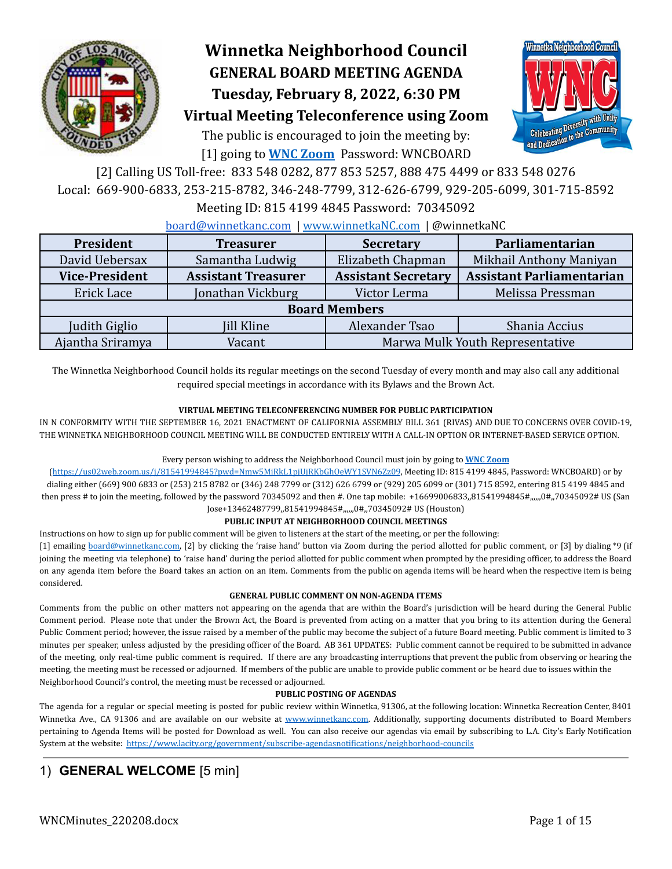

# **Winnetka Neighborhood Council GENERAL BOARD MEETING AGENDA Tuesday, February 8, 2022, 6:30 PM**



# **Virtual Meeting Teleconference using Zoom**

The public is encouraged to join the meeting by: [1] going to **[WNC Zoom](https://us02web.zoom.us/j/81541994845?pwd=Nmw5MjRkL1pjUjRKbGhOeWY1SVN6Zz09)** Password: WNCBOARD

[2] Calling US Toll-free: 833 548 0282, 877 853 5257, 888 475 4499 or 833 548 0276 Local: 669-900-6833, 253-215-8782, 346-248-7799, 312-626-6799, 929-205-6099, 301-715-8592

Meeting ID: 815 4199 4845 Password: 70345092

#### [board@winnetkanc.com](mailto:board@winnetkanc.com) | [www.winnetkaNC.com](http://www.winnetkanc.com) | @winnetkaNC

| President             | <b>Treasurer</b>           |                                 | Parliamentarian                  |  |  |  |  |  |
|-----------------------|----------------------------|---------------------------------|----------------------------------|--|--|--|--|--|
| David Uebersax        | Samantha Ludwig            | Elizabeth Chapman               | Mikhail Anthony Maniyan          |  |  |  |  |  |
| <b>Vice-President</b> | <b>Assistant Treasurer</b> | <b>Assistant Secretary</b>      | <b>Assistant Parliamentarian</b> |  |  |  |  |  |
| Erick Lace            | Jonathan Vickburg          | Victor Lerma                    | Melissa Pressman                 |  |  |  |  |  |
| <b>Board Members</b>  |                            |                                 |                                  |  |  |  |  |  |
| Judith Giglio         | Jill Kline                 | Alexander Tsao                  | Shania Accius                    |  |  |  |  |  |
| Ajantha Sriramya      | Vacant                     | Marwa Mulk Youth Representative |                                  |  |  |  |  |  |

The Winnetka Neighborhood Council holds its regular meetings on the second Tuesday of every month and may also call any additional required special meetings in accordance with its Bylaws and the Brown Act.

#### **VIRTUAL MEETING TELECONFERENCING NUMBER FOR PUBLIC PARTICIPATION**

IN N CONFORMITY WITH THE SEPTEMBER 16, 2021 ENACTMENT OF CALIFORNIA ASSEMBLY BILL 361 (RIVAS) AND DUE TO CONCERNS OVER COVID-19, THE WINNETKA NEIGHBORHOOD COUNCIL MEETING WILL BE CONDUCTED ENTIRELY WITH A CALL-IN OPTION OR INTERNET-BASED SERVICE OPTION.

#### Every person wishing to address the Neighborhood Council must join by going to **WNC [Zoom](https://us02web.zoom.us/j/81541994845?pwd=Nmw5MjRkL1pjUjRKbGhOeWY1SVN6Zz09)**

(<https://us02web.zoom.us/j/81541994845?pwd=Nmw5MjRkL1pjUjRKbGhOeWY1SVN6Zz09>, Meeting ID: 815 4199 4845, Password: WNCBOARD) or by dialing either (669) 900 6833 or (253) 215 8782 or (346) 248 7799 or (312) 626 6799 or (929) 205 6099 or (301) 715 8592, entering 815 4199 4845 and then press # to join the meeting, followed by the password 70345092 and then #. One tap mobile: +16699006833,81541994845#,,,,,,0#,,70345092# US (San Jose+13462487799,,81541994845#,,,,,,0#,,70345092# US (Houston)

#### **PUBLIC INPUT AT NEIGHBORHOOD COUNCIL MEETINGS**

Instructions on how to sign up for public comment will be given to listeners at the start of the meeting, or per the following:

[1] emailing [board@winnetkanc.com,](mailto:board@winnetkanc.com) [2] by clicking the 'raise hand' button via Zoom during the period allotted for public comment, or [3] by dialing \*9 (if joining the meeting via telephone) to 'raise hand' during the period allotted for public comment when prompted by the presiding officer, to address the Board on any agenda item before the Board takes an action on an item. Comments from the public on agenda items will be heard when the respective item is being considered.

#### **GENERAL PUBLIC COMMENT ON NON-AGENDA ITEMS**

Comments from the public on other matters not appearing on the agenda that are within the Board's jurisdiction will be heard during the General Public Comment period. Please note that under the Brown Act, the Board is prevented from acting on a matter that you bring to its attention during the General Public Comment period; however, the issue raised by a member of the public may become the subject of a future Board meeting. Public comment is limited to 3 minutes per speaker, unless adjusted by the presiding officer of the Board. AB 361 UPDATES: Public comment cannot be required to be submitted in advance of the meeting, only real-time public comment is required. If there are any broadcasting interruptions that prevent the public from observing or hearing the meeting, the meeting must be recessed or adjourned. If members of the public are unable to provide public comment or be heard due to issues within the Neighborhood Council's control, the meeting must be recessed or adjourned.

#### **PUBLIC POSTING OF AGENDAS**

The agenda for a regular or special meeting is posted for public review within Winnetka, 91306, at the following location: Winnetka Recreation Center, 8401 Winnetka Ave., CA 91306 and are available on our website at www.winnetkanc.com. Additionally, supporting documents distributed to Board Members pertaining to Agenda Items will be posted for Download as well. You can also receive our agendas via email by subscribing to L.A. City's Early Notification System at the website: <https://www.lacity.org/government/subscribe-agendasnotifications/neighborhood-councils>

# 1) **GENERAL WELCOME** [5 min]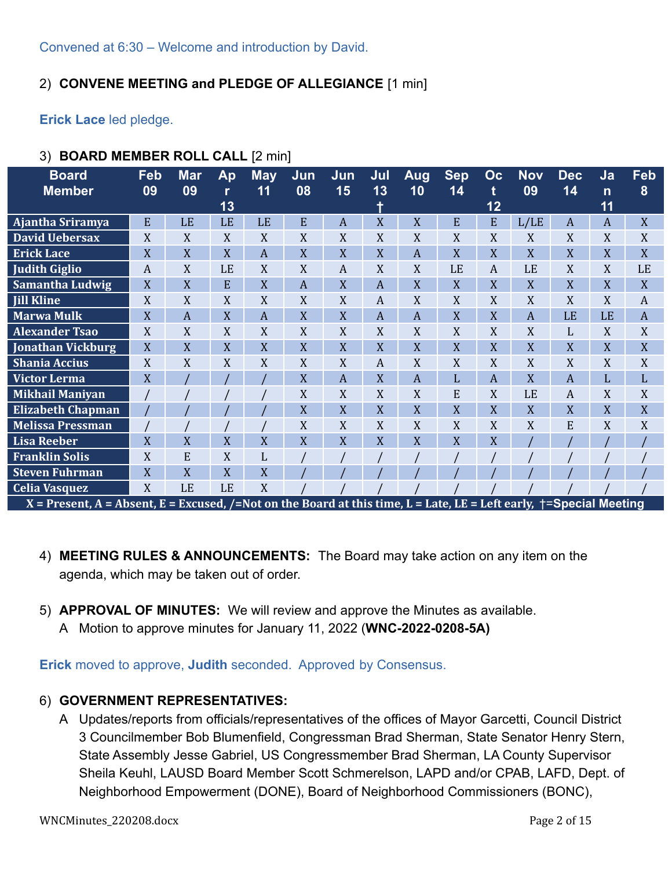# 2) **CONVENE MEETING and PLEDGE OF ALLEGIANCE** [1 min]

**Erick Lace** led pledge.

| <b>Board</b><br><b>Member</b>                                                                                       | Feb<br>09 | <b>Mar</b><br>09 | Ap<br>13  | <b>May</b><br>11 | Jun<br>08      | Jun<br>15 | Jul<br>13        | Aug<br>10      | <b>Sep</b><br>14 | Oc<br>t<br>12 | <b>Nov</b><br>09 | <b>Dec</b><br>14 | Ja<br>$\mathsf{n}$<br>11 | Feb<br>8         |
|---------------------------------------------------------------------------------------------------------------------|-----------|------------------|-----------|------------------|----------------|-----------|------------------|----------------|------------------|---------------|------------------|------------------|--------------------------|------------------|
| Ajantha Sriramya                                                                                                    | E         | LE               | LE        | LE               | E              | A         | X                | X              | E                | E             | L/LE             | $\boldsymbol{A}$ | A                        | X                |
| <b>David Uebersax</b>                                                                                               | X         | X                | X         | X                | X              | X         | X                | X              | X                | X             | X                | X                | X                        | X                |
| <b>Erick Lace</b>                                                                                                   | X         | X                | X         | A                | X              | X         | X                | A              | X                | X             | X                | X                | X                        | X                |
| <b>Judith Giglio</b>                                                                                                | A         | X                | LE        | X                | X              | A         | X                | X              | LE               | A             | LE               | X                | X                        | LE               |
| <b>Samantha Ludwig</b>                                                                                              | X         | X                | E         | X                | $\overline{A}$ | X         | $\overline{A}$   | X              | X                | X             | X                | X                | X                        | X                |
| <b>Jill Kline</b>                                                                                                   | X         | X                | X         | X                | X              | X         | $\boldsymbol{A}$ | X              | X                | X             | X                | X                | X                        | $\boldsymbol{A}$ |
| <b>Marwa Mulk</b>                                                                                                   | X         | A                | X         | A                | X              | X         | $\overline{A}$   | $\overline{A}$ | X                | X             | $\overline{A}$   | LE               | LE                       | $\overline{A}$   |
| <b>Alexander Tsao</b>                                                                                               | X         | X                | X         | X                | X              | X         | X                | X              | X                | X             | X                | L                | X                        | X                |
| Jonathan Vickburg                                                                                                   | X         | X                | X         | X                | X              | X         | X                | X              | X                | X             | X                | X                | X                        | X                |
| <b>Shania Accius</b>                                                                                                | X         | X                | X         | X                | X              | X         | A                | X              | X                | X             | X                | X                | X                        | X                |
| <b>Victor Lerma</b>                                                                                                 | X         |                  |           |                  | X              | A         | X                | A              | L                | A             | X                | $\overline{A}$   | L                        | L                |
| <b>Mikhail Maniyan</b>                                                                                              |           |                  |           |                  | X              | X         | X                | X              | E                | X             | LE               | $\boldsymbol{A}$ | X                        | X                |
| <b>Elizabeth Chapman</b>                                                                                            |           |                  |           |                  | X              | X         | X                | X              | X                | X             | X                | X                | X                        | X                |
| <b>Melissa Pressman</b>                                                                                             |           |                  |           |                  | X              | X         | X                | X              | X                | X             | X                | E                | X                        | X                |
| <b>Lisa Reeber</b>                                                                                                  | X         | X                | X         | X                | $\overline{X}$ | X         | X                | X              | X                | X             |                  |                  |                          |                  |
| <b>Franklin Solis</b>                                                                                               | X         | E                | X         | L                |                |           |                  |                |                  |               |                  |                  |                          |                  |
| <b>Steven Fuhrman</b>                                                                                               | X         | X                | X         | X                |                |           |                  |                |                  |               |                  |                  |                          |                  |
| <b>Celia Vasquez</b>                                                                                                | X         | LE               | <b>LE</b> | X                |                |           |                  |                |                  |               |                  |                  |                          |                  |
| X = Present, A = Absent, E = Excused, /=Not on the Board at this time, L = Late, LE = Left early, †=Special Meeting |           |                  |           |                  |                |           |                  |                |                  |               |                  |                  |                          |                  |

# 3) **BOARD MEMBER ROLL CALL** [2 min]

- 4) **MEETING RULES & ANNOUNCEMENTS:** The Board may take action on any item on the agenda, which may be taken out of order.
- 5) **APPROVAL OF MINUTES:** We will review and approve the Minutes as available.
	- A Motion to approve minutes for January 11, 2022 (**WNC-2022-0208-5A)**

**Erick** moved to approve, **Judith** seconded. Approved by Consensus.

### 6) **GOVERNMENT REPRESENTATIVES:**

A Updates/reports from officials/representatives of the offices of Mayor Garcetti, Council District 3 Councilmember Bob Blumenfield, Congressman Brad Sherman, State Senator Henry Stern, State Assembly Jesse Gabriel, US Congressmember Brad Sherman, LA County Supervisor Sheila Keuhl, LAUSD Board Member Scott Schmerelson, LAPD and/or CPAB, LAFD, Dept. of Neighborhood Empowerment (DONE), Board of Neighborhood Commissioners (BONC),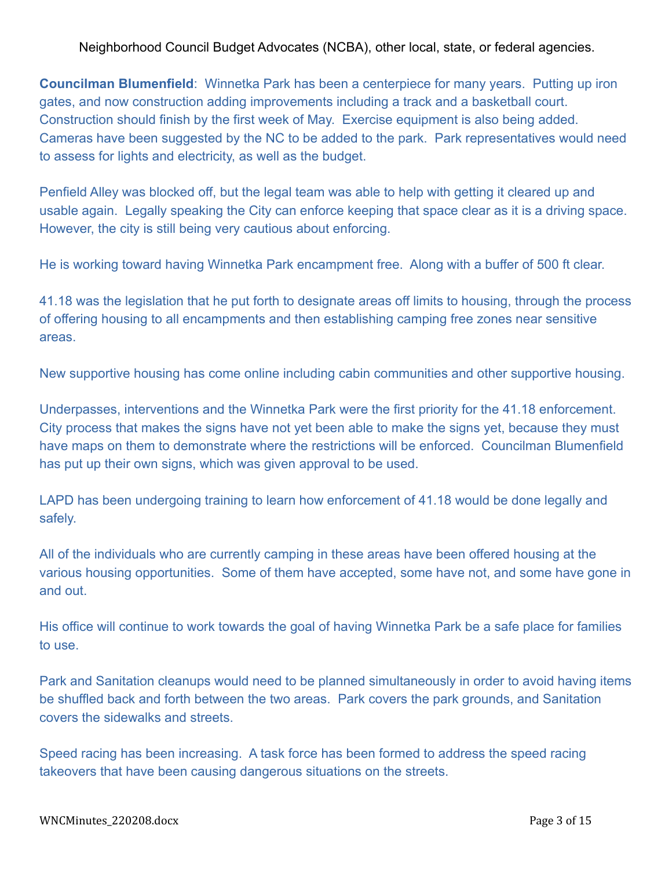Neighborhood Council Budget Advocates (NCBA), other local, state, or federal agencies.

**Councilman Blumenfield**: Winnetka Park has been a centerpiece for many years. Putting up iron gates, and now construction adding improvements including a track and a basketball court. Construction should finish by the first week of May. Exercise equipment is also being added. Cameras have been suggested by the NC to be added to the park. Park representatives would need to assess for lights and electricity, as well as the budget.

Penfield Alley was blocked off, but the legal team was able to help with getting it cleared up and usable again. Legally speaking the City can enforce keeping that space clear as it is a driving space. However, the city is still being very cautious about enforcing.

He is working toward having Winnetka Park encampment free. Along with a buffer of 500 ft clear.

41.18 was the legislation that he put forth to designate areas off limits to housing, through the process of offering housing to all encampments and then establishing camping free zones near sensitive areas.

New supportive housing has come online including cabin communities and other supportive housing.

Underpasses, interventions and the Winnetka Park were the first priority for the 41.18 enforcement. City process that makes the signs have not yet been able to make the signs yet, because they must have maps on them to demonstrate where the restrictions will be enforced. Councilman Blumenfield has put up their own signs, which was given approval to be used.

LAPD has been undergoing training to learn how enforcement of 41.18 would be done legally and safely.

All of the individuals who are currently camping in these areas have been offered housing at the various housing opportunities. Some of them have accepted, some have not, and some have gone in and out.

His office will continue to work towards the goal of having Winnetka Park be a safe place for families to use.

Park and Sanitation cleanups would need to be planned simultaneously in order to avoid having items be shuffled back and forth between the two areas. Park covers the park grounds, and Sanitation covers the sidewalks and streets.

Speed racing has been increasing. A task force has been formed to address the speed racing takeovers that have been causing dangerous situations on the streets.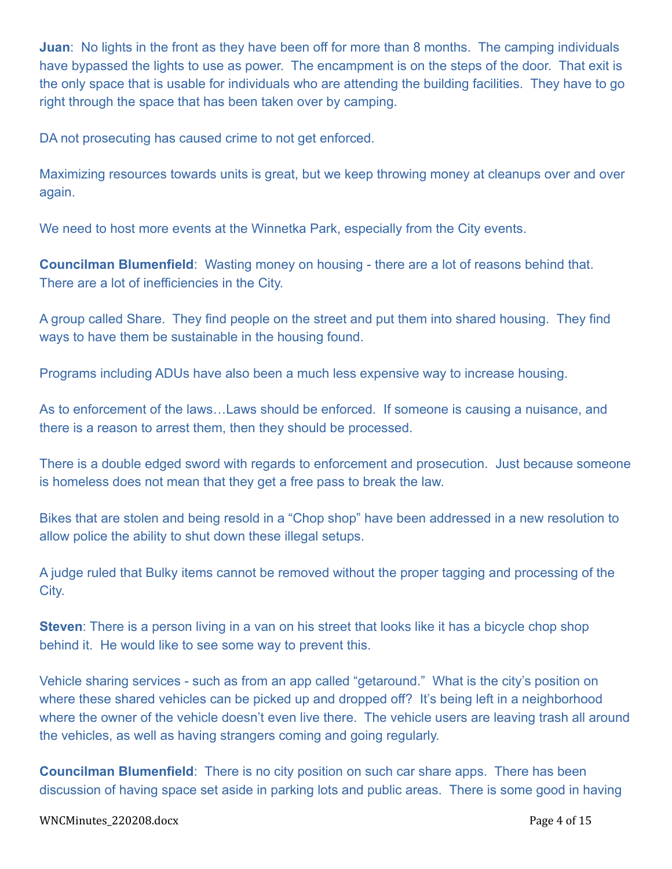**Juan**: No lights in the front as they have been off for more than 8 months. The camping individuals have bypassed the lights to use as power. The encampment is on the steps of the door. That exit is the only space that is usable for individuals who are attending the building facilities. They have to go right through the space that has been taken over by camping.

DA not prosecuting has caused crime to not get enforced.

Maximizing resources towards units is great, but we keep throwing money at cleanups over and over again.

We need to host more events at the Winnetka Park, especially from the City events.

**Councilman Blumenfield**: Wasting money on housing - there are a lot of reasons behind that. There are a lot of inefficiencies in the City.

A group called Share. They find people on the street and put them into shared housing. They find ways to have them be sustainable in the housing found.

Programs including ADUs have also been a much less expensive way to increase housing.

As to enforcement of the laws…Laws should be enforced. If someone is causing a nuisance, and there is a reason to arrest them, then they should be processed.

There is a double edged sword with regards to enforcement and prosecution. Just because someone is homeless does not mean that they get a free pass to break the law.

Bikes that are stolen and being resold in a "Chop shop" have been addressed in a new resolution to allow police the ability to shut down these illegal setups.

A judge ruled that Bulky items cannot be removed without the proper tagging and processing of the City.

**Steven:** There is a person living in a van on his street that looks like it has a bicycle chop shop behind it. He would like to see some way to prevent this.

Vehicle sharing services - such as from an app called "getaround." What is the city's position on where these shared vehicles can be picked up and dropped off? It's being left in a neighborhood where the owner of the vehicle doesn't even live there. The vehicle users are leaving trash all around the vehicles, as well as having strangers coming and going regularly.

**Councilman Blumenfield**: There is no city position on such car share apps. There has been discussion of having space set aside in parking lots and public areas. There is some good in having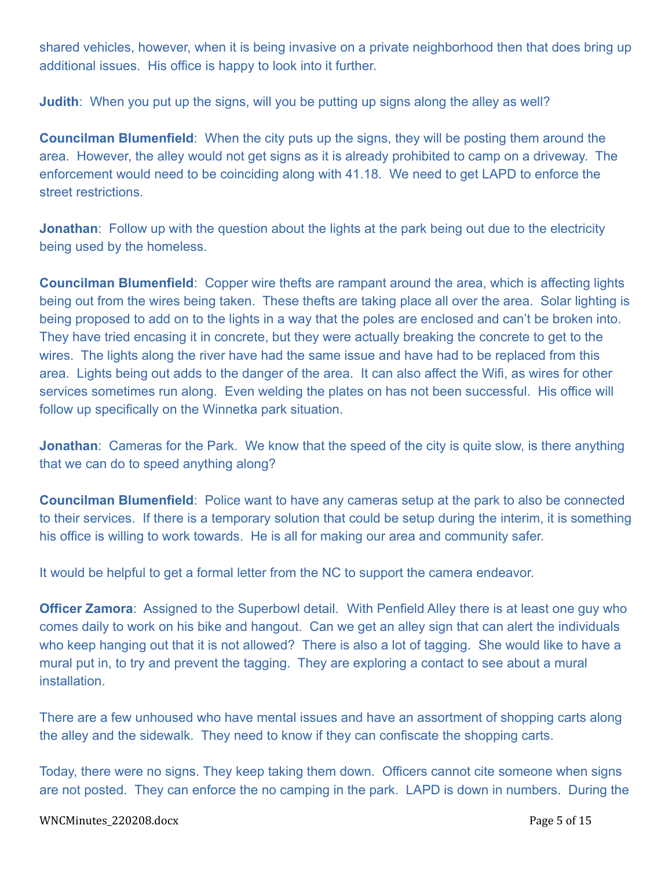shared vehicles, however, when it is being invasive on a private neighborhood then that does bring up additional issues. His office is happy to look into it further.

**Judith:** When you put up the signs, will you be putting up signs along the alley as well?

**Councilman Blumenfield**: When the city puts up the signs, they will be posting them around the area. However, the alley would not get signs as it is already prohibited to camp on a driveway. The enforcement would need to be coinciding along with 41.18. We need to get LAPD to enforce the street restrictions.

**Jonathan**: Follow up with the question about the lights at the park being out due to the electricity being used by the homeless.

**Councilman Blumenfield**: Copper wire thefts are rampant around the area, which is affecting lights being out from the wires being taken. These thefts are taking place all over the area. Solar lighting is being proposed to add on to the lights in a way that the poles are enclosed and can't be broken into. They have tried encasing it in concrete, but they were actually breaking the concrete to get to the wires. The lights along the river have had the same issue and have had to be replaced from this area. Lights being out adds to the danger of the area. It can also affect the Wifi, as wires for other services sometimes run along. Even welding the plates on has not been successful. His office will follow up specifically on the Winnetka park situation.

**Jonathan**: Cameras for the Park. We know that the speed of the city is quite slow, is there anything that we can do to speed anything along?

**Councilman Blumenfield**: Police want to have any cameras setup at the park to also be connected to their services. If there is a temporary solution that could be setup during the interim, it is something his office is willing to work towards. He is all for making our area and community safer.

It would be helpful to get a formal letter from the NC to support the camera endeavor.

**Officer Zamora:** Assigned to the Superbowl detail. With Penfield Alley there is at least one guy who comes daily to work on his bike and hangout. Can we get an alley sign that can alert the individuals who keep hanging out that it is not allowed? There is also a lot of tagging. She would like to have a mural put in, to try and prevent the tagging. They are exploring a contact to see about a mural **installation** 

There are a few unhoused who have mental issues and have an assortment of shopping carts along the alley and the sidewalk. They need to know if they can confiscate the shopping carts.

Today, there were no signs. They keep taking them down. Officers cannot cite someone when signs are not posted. They can enforce the no camping in the park. LAPD is down in numbers. During the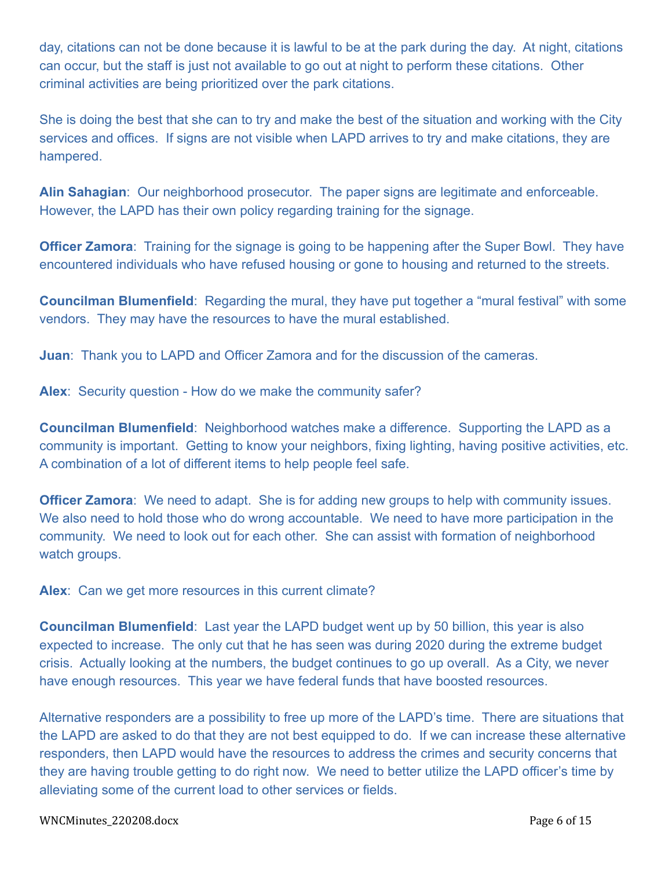day, citations can not be done because it is lawful to be at the park during the day. At night, citations can occur, but the staff is just not available to go out at night to perform these citations. Other criminal activities are being prioritized over the park citations.

She is doing the best that she can to try and make the best of the situation and working with the City services and offices. If signs are not visible when LAPD arrives to try and make citations, they are hampered.

**Alin Sahagian**: Our neighborhood prosecutor. The paper signs are legitimate and enforceable. However, the LAPD has their own policy regarding training for the signage.

**Officer Zamora:** Training for the signage is going to be happening after the Super Bowl. They have encountered individuals who have refused housing or gone to housing and returned to the streets.

**Councilman Blumenfield**: Regarding the mural, they have put together a "mural festival" with some vendors. They may have the resources to have the mural established.

**Juan**: Thank you to LAPD and Officer Zamora and for the discussion of the cameras.

**Alex**: Security question - How do we make the community safer?

**Councilman Blumenfield**: Neighborhood watches make a difference. Supporting the LAPD as a community is important. Getting to know your neighbors, fixing lighting, having positive activities, etc. A combination of a lot of different items to help people feel safe.

**Officer Zamora**: We need to adapt. She is for adding new groups to help with community issues. We also need to hold those who do wrong accountable. We need to have more participation in the community. We need to look out for each other. She can assist with formation of neighborhood watch groups.

**Alex**: Can we get more resources in this current climate?

**Councilman Blumenfield**: Last year the LAPD budget went up by 50 billion, this year is also expected to increase. The only cut that he has seen was during 2020 during the extreme budget crisis. Actually looking at the numbers, the budget continues to go up overall. As a City, we never have enough resources. This year we have federal funds that have boosted resources.

Alternative responders are a possibility to free up more of the LAPD's time. There are situations that the LAPD are asked to do that they are not best equipped to do. If we can increase these alternative responders, then LAPD would have the resources to address the crimes and security concerns that they are having trouble getting to do right now. We need to better utilize the LAPD officer's time by alleviating some of the current load to other services or fields.

WNCMinutes\_220208.docx Page 6 of 15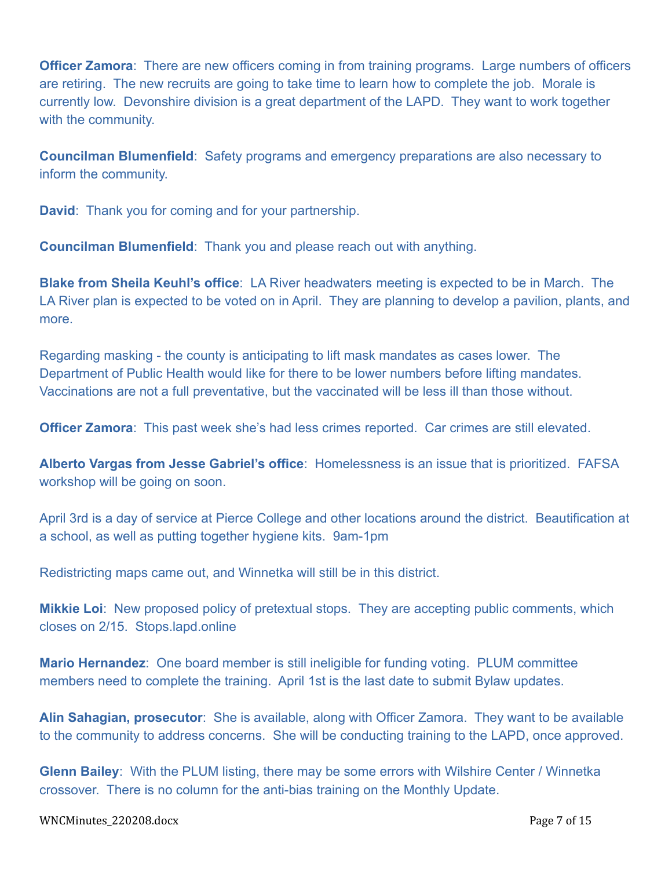**Officer Zamora**: There are new officers coming in from training programs. Large numbers of officers are retiring. The new recruits are going to take time to learn how to complete the job. Morale is currently low. Devonshire division is a great department of the LAPD. They want to work together with the community.

**Councilman Blumenfield**: Safety programs and emergency preparations are also necessary to inform the community.

**David**: Thank you for coming and for your partnership.

**Councilman Blumenfield**: Thank you and please reach out with anything.

**Blake from Sheila Keuhl's office**: LA River headwaters meeting is expected to be in March. The LA River plan is expected to be voted on in April. They are planning to develop a pavilion, plants, and more.

Regarding masking - the county is anticipating to lift mask mandates as cases lower. The Department of Public Health would like for there to be lower numbers before lifting mandates. Vaccinations are not a full preventative, but the vaccinated will be less ill than those without.

**Officer Zamora:** This past week she's had less crimes reported. Car crimes are still elevated.

**Alberto Vargas from Jesse Gabriel's office**: Homelessness is an issue that is prioritized. FAFSA workshop will be going on soon.

April 3rd is a day of service at Pierce College and other locations around the district. Beautification at a school, as well as putting together hygiene kits. 9am-1pm

Redistricting maps came out, and Winnetka will still be in this district.

**Mikkie Loi**: New proposed policy of pretextual stops. They are accepting public comments, which closes on 2/15. Stops.lapd.online

**Mario Hernandez**: One board member is still ineligible for funding voting. PLUM committee members need to complete the training. April 1st is the last date to submit Bylaw updates.

**Alin Sahagian, prosecutor**: She is available, along with Officer Zamora. They want to be available to the community to address concerns. She will be conducting training to the LAPD, once approved.

**Glenn Bailey**: With the PLUM listing, there may be some errors with Wilshire Center / Winnetka crossover. There is no column for the anti-bias training on the Monthly Update.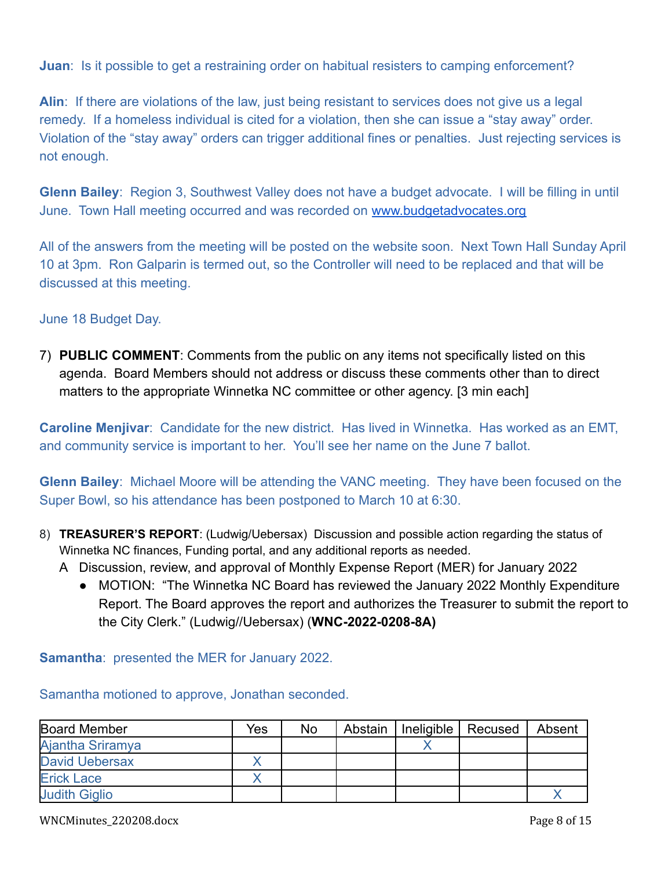**Juan:** Is it possible to get a restraining order on habitual resisters to camping enforcement?

**Alin**: If there are violations of the law, just being resistant to services does not give us a legal remedy. If a homeless individual is cited for a violation, then she can issue a "stay away" order. Violation of the "stay away" orders can trigger additional fines or penalties. Just rejecting services is not enough.

**Glenn Bailey**: Region 3, Southwest Valley does not have a budget advocate. I will be filling in until June. Town Hall meeting occurred and was recorded on [www.budgetadvocates.org](http://www.budgetadvocates.org)

All of the answers from the meeting will be posted on the website soon. Next Town Hall Sunday April 10 at 3pm. Ron Galparin is termed out, so the Controller will need to be replaced and that will be discussed at this meeting.

### June 18 Budget Day.

7) **PUBLIC COMMENT**: Comments from the public on any items not specifically listed on this agenda. Board Members should not address or discuss these comments other than to direct matters to the appropriate Winnetka NC committee or other agency. [3 min each]

**Caroline Menjivar**: Candidate for the new district. Has lived in Winnetka. Has worked as an EMT, and community service is important to her. You'll see her name on the June 7 ballot.

**Glenn Bailey**: Michael Moore will be attending the VANC meeting. They have been focused on the Super Bowl, so his attendance has been postponed to March 10 at 6:30.

- 8) **TREASURER'S REPORT**: (Ludwig/Uebersax) Discussion and possible action regarding the status of Winnetka NC finances, Funding portal, and any additional reports as needed.
	- A Discussion, review, and approval of Monthly Expense Report (MER) for January 2022
		- MOTION: "The Winnetka NC Board has reviewed the January 2022 Monthly Expenditure Report. The Board approves the report and authorizes the Treasurer to submit the report to the City Clerk." (Ludwig//Uebersax) (**WNC-2022-0208-8A)**

**Samantha**: presented the MER for January 2022.

Samantha motioned to approve, Jonathan seconded.

| Board Member          | Yes | <b>No</b> | Abstain | Ineligible | Recused | Absent |
|-----------------------|-----|-----------|---------|------------|---------|--------|
| Ajantha Sriramya      |     |           |         |            |         |        |
| <b>David Uebersax</b> |     |           |         |            |         |        |
| <b>Erick Lace</b>     |     |           |         |            |         |        |
| <b>Judith Giglio</b>  |     |           |         |            |         |        |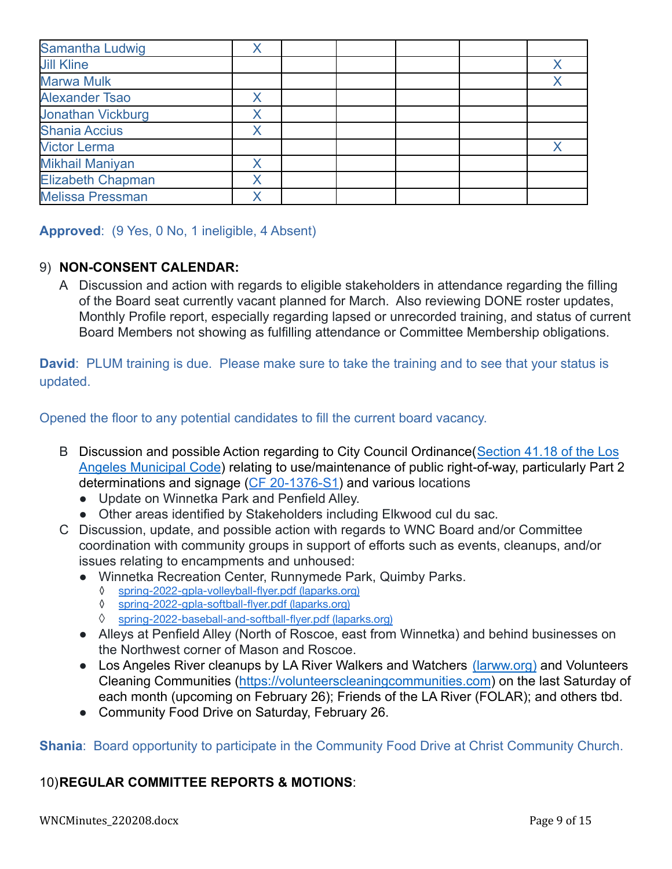| Samantha Ludwig          |   |  |  |  |
|--------------------------|---|--|--|--|
| <b>Jill Kline</b>        |   |  |  |  |
| <b>Marwa Mulk</b>        |   |  |  |  |
| <b>Alexander Tsao</b>    |   |  |  |  |
| <b>Jonathan Vickburg</b> |   |  |  |  |
| <b>Shania Accius</b>     | Χ |  |  |  |
| <b>Victor Lerma</b>      |   |  |  |  |
| <b>Mikhail Maniyan</b>   |   |  |  |  |
| <b>Elizabeth Chapman</b> |   |  |  |  |
| <b>Melissa Pressman</b>  |   |  |  |  |

**Approved**: (9 Yes, 0 No, 1 ineligible, 4 Absent)

# 9) **NON-CONSENT CALENDAR:**

A Discussion and action with regards to eligible stakeholders in attendance regarding the filling of the Board seat currently vacant planned for March. Also reviewing DONE roster updates, Monthly Profile report, especially regarding lapsed or unrecorded training, and status of current Board Members not showing as fulfilling attendance or Committee Membership obligations.

**David**: PLUM training is due. Please make sure to take the training and to see that your status is updated.

Opened the floor to any potential candidates to fill the current board vacancy.

- B Discussion and possible Action regarding to City Council Ordinance([Section 41.18 of the Los](https://clkrep.lacity.org/onlinedocs/2020/20-1376-S1_ord_187127_09-03-21.pdf) [Angeles Municipal Code](https://clkrep.lacity.org/onlinedocs/2020/20-1376-S1_ord_187127_09-03-21.pdf)) relating to use/maintenance of public right-of-way, particularly Part 2 determinations and signage ([CF 20-1376-S1\)](https://cityclerk.lacity.org/lacityclerkconnect/index.cfm?fa=ccfi.viewrecord&cfnumber=20-1376-S1) and various locations
	- Update on Winnetka Park and Penfield Alley.
	- Other areas identified by Stakeholders including Elkwood cul du sac.
- C Discussion, update, and possible action with regards to WNC Board and/or Committee coordination with community groups in support of efforts such as events, cleanups, and/or issues relating to encampments and unhoused:
	- Winnetka Recreation Center, Runnymede Park, Quimby Parks.
		- ◊ [spring-2022-gpla-volleyball-flyer.pdf](https://www.laparks.org/sites/default/files/reccenter/winnetka-recreation-center/pdf/spring-2022-gpla-volleyball-flyer.pdf) (laparks.org)
		- ◊ [spring-2022-gpla-softball-flyer.pdf](https://www.laparks.org/sites/default/files/reccenter/winnetka-recreation-center/pdf/spring-2022-gpla-softball-flyer.pdf) (laparks.org)
		- ◊ [spring-2022-baseball-and-softball-flyer.pdf](https://www.laparks.org/sites/default/files/reccenter/winnetka-recreation-center/pdf/spring-2022-baseball-and-softball-flyer.pdf) (laparks.org)
	- Alleys at Penfield Alley (North of Roscoe, east from Winnetka) and behind businesses on the Northwest corner of Mason and Roscoe.
	- Los Angeles River cleanups by LA River Walkers and Watchers [\(larww.org\)](http://larww.org/) and Volunteers Cleaning Communities (<https://volunteerscleaningcommunities.com>) on the last Saturday of each month (upcoming on February 26); Friends of the LA River (FOLAR); and others tbd.
	- Community Food Drive on Saturday, February 26.

**Shania**: Board opportunity to participate in the Community Food Drive at Christ Community Church.

# 10)**REGULAR COMMITTEE REPORTS & MOTIONS**: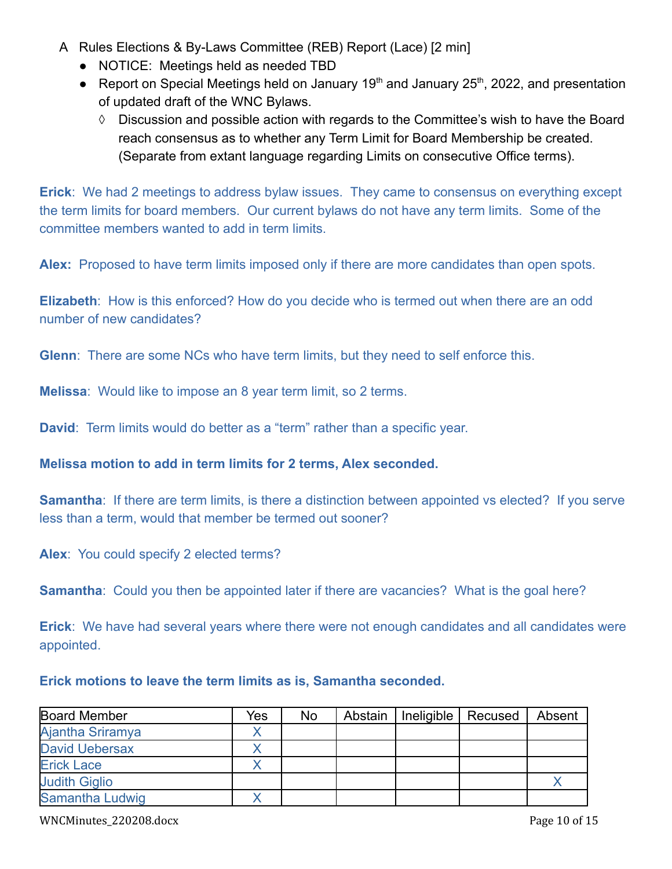- A Rules Elections & By-Laws Committee (REB) Report (Lace) [2 min]
	- **●** NOTICE: Meetings held as needed TBD
	- Report on Special Meetings held on January 19<sup>th</sup> and January 25<sup>th</sup>, 2022, and presentation of updated draft of the WNC Bylaws.
		- **◊** Discussion and possible action with regards to the Committee's wish to have the Board reach consensus as to whether any Term Limit for Board Membership be created. (Separate from extant language regarding Limits on consecutive Office terms).

**Erick**: We had 2 meetings to address bylaw issues. They came to consensus on everything except the term limits for board members. Our current bylaws do not have any term limits. Some of the committee members wanted to add in term limits.

**Alex:** Proposed to have term limits imposed only if there are more candidates than open spots.

**Elizabeth**: How is this enforced? How do you decide who is termed out when there are an odd number of new candidates?

**Glenn**: There are some NCs who have term limits, but they need to self enforce this.

**Melissa**: Would like to impose an 8 year term limit, so 2 terms.

**David**: Term limits would do better as a "term" rather than a specific year.

### **Melissa motion to add in term limits for 2 terms, Alex seconded.**

**Samantha:** If there are term limits, is there a distinction between appointed vs elected? If you serve less than a term, would that member be termed out sooner?

**Alex**: You could specify 2 elected terms?

**Samantha:** Could you then be appointed later if there are vacancies? What is the goal here?

**Erick**: We have had several years where there were not enough candidates and all candidates were appointed.

### **Erick motions to leave the term limits as is, Samantha seconded.**

| <b>Board Member</b>   | Yes | <b>No</b> | Abstain | Ineligible | Recused | Absent |
|-----------------------|-----|-----------|---------|------------|---------|--------|
| Ajantha Sriramya      |     |           |         |            |         |        |
| <b>David Uebersax</b> |     |           |         |            |         |        |
| <b>Erick Lace</b>     |     |           |         |            |         |        |
| <b>Judith Giglio</b>  |     |           |         |            |         |        |
| Samantha Ludwig       |     |           |         |            |         |        |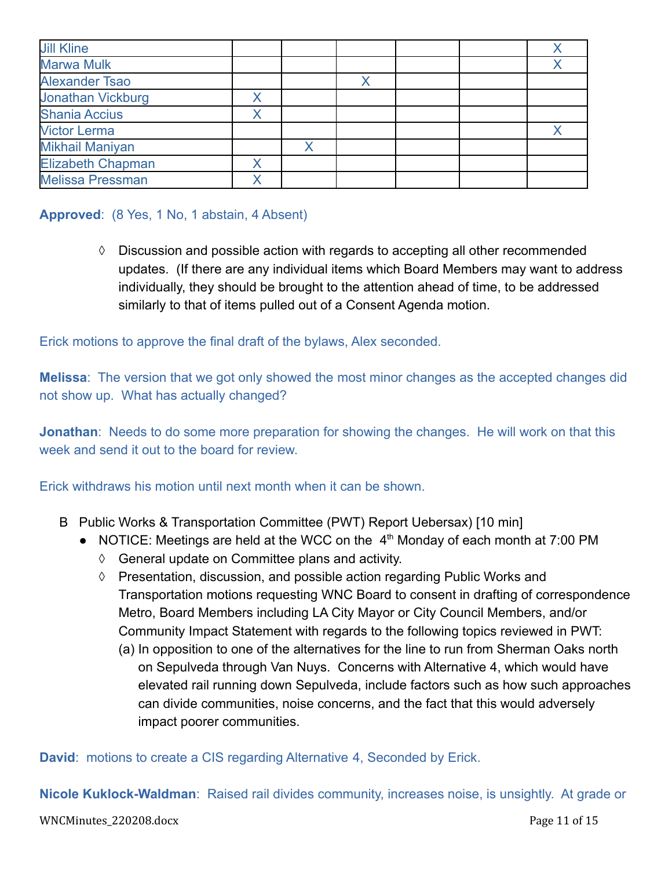| <b>Jill Kline</b>        |  |  |  |
|--------------------------|--|--|--|
| <b>Marwa Mulk</b>        |  |  |  |
| <b>Alexander Tsao</b>    |  |  |  |
| <b>Jonathan Vickburg</b> |  |  |  |
| <b>Shania Accius</b>     |  |  |  |
| <b>Victor Lerma</b>      |  |  |  |
| <b>Mikhail Maniyan</b>   |  |  |  |
| <b>Elizabeth Chapman</b> |  |  |  |
| <b>Melissa Pressman</b>  |  |  |  |

### **Approved**: (8 Yes, 1 No, 1 abstain, 4 Absent)

**◊** Discussion and possible action with regards to accepting all other recommended updates. (If there are any individual items which Board Members may want to address individually, they should be brought to the attention ahead of time, to be addressed similarly to that of items pulled out of a Consent Agenda motion.

Erick motions to approve the final draft of the bylaws, Alex seconded.

**Melissa**: The version that we got only showed the most minor changes as the accepted changes did not show up. What has actually changed?

**Jonathan**: Needs to do some more preparation for showing the changes. He will work on that this week and send it out to the board for review

Erick withdraws his motion until next month when it can be shown.

- B Public Works & Transportation Committee (PWT) Report Uebersax) [10 min]
	- NOTICE: Meetings are held at the WCC on the  $4<sup>th</sup>$  Monday of each month at 7:00 PM
		- ◊ General update on Committee plans and activity.
		- ◊ Presentation, discussion, and possible action regarding Public Works and Transportation motions requesting WNC Board to consent in drafting of correspondence Metro, Board Members including LA City Mayor or City Council Members, and/or Community Impact Statement with regards to the following topics reviewed in PWT:
			- (a) In opposition to one of the alternatives for the line to run from Sherman Oaks north on Sepulveda through Van Nuys. Concerns with Alternative 4, which would have elevated rail running down Sepulveda, include factors such as how such approaches can divide communities, noise concerns, and the fact that this would adversely impact poorer communities.

**David**: motions to create a CIS regarding Alternative 4, Seconded by Erick.

**Nicole Kuklock-Waldman**: Raised rail divides community, increases noise, is unsightly. At grade or

#### WNCMinutes\_220208.docx Page 11 of 15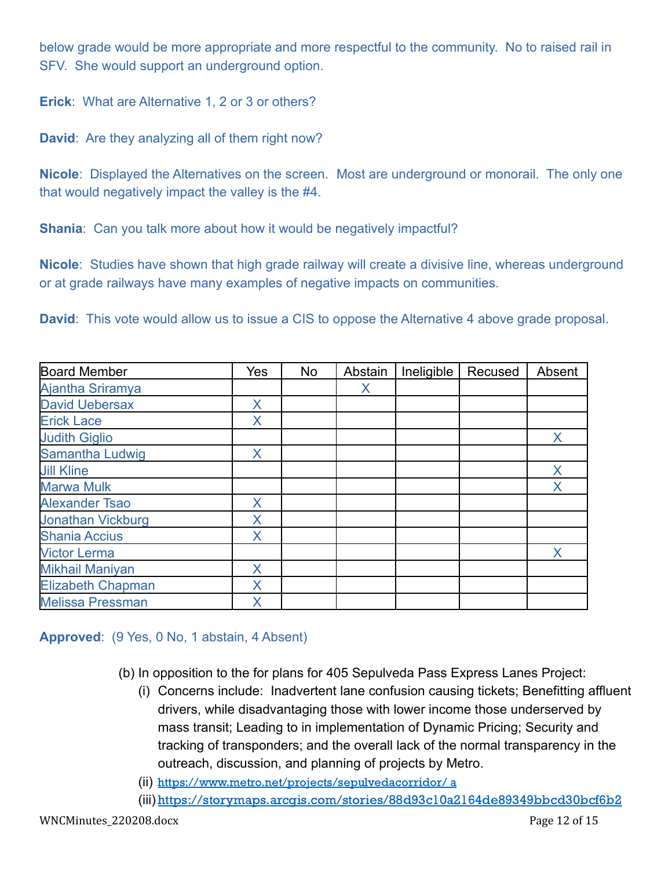below grade would be more appropriate and more respectful to the community. No to raised rail in SFV. She would support an underground option.

**Erick**: What are Alternative 1, 2 or 3 or others?

**David**: Are they analyzing all of them right now?

**Nicole**: Displayed the Alternatives on the screen. Most are underground or monorail. The only one that would negatively impact the valley is the #4.

**Shania:** Can you talk more about how it would be negatively impactful?

**Nicole**: Studies have shown that high grade railway will create a divisive line, whereas underground or at grade railways have many examples of negative impacts on communities.

**David**: This vote would allow us to issue a CIS to oppose the Alternative 4 above grade proposal.

| <b>Board Member</b>      | Yes | <b>No</b> | Abstain | Ineligible | Recused | Absent |
|--------------------------|-----|-----------|---------|------------|---------|--------|
| Ajantha Sriramya         |     |           | X       |            |         |        |
| <b>David Uebersax</b>    | X   |           |         |            |         |        |
| <b>Erick Lace</b>        | Χ   |           |         |            |         |        |
| <b>Judith Giglio</b>     |     |           |         |            |         | X      |
| Samantha Ludwig          | X   |           |         |            |         |        |
| <b>Jill Kline</b>        |     |           |         |            |         | X      |
| <b>Marwa Mulk</b>        |     |           |         |            |         | X      |
| <b>Alexander Tsao</b>    | X   |           |         |            |         |        |
| <b>Jonathan Vickburg</b> | Χ   |           |         |            |         |        |
| <b>Shania Accius</b>     | X   |           |         |            |         |        |
| <b>Victor Lerma</b>      |     |           |         |            |         | X      |
| <b>Mikhail Maniyan</b>   | Χ   |           |         |            |         |        |
| <b>Elizabeth Chapman</b> | X   |           |         |            |         |        |
| <b>Melissa Pressman</b>  | X   |           |         |            |         |        |

### **Approved**: (9 Yes, 0 No, 1 abstain, 4 Absent)

- (b) In opposition to the for plans for 405 Sepulveda Pass Express Lanes Project:
	- (i) Concerns include: Inadvertent lane confusion causing tickets; Benefitting affluent drivers, while disadvantaging those with lower income those underserved by mass transit; Leading to in implementation of Dynamic Pricing; Security and tracking of transponders; and the overall lack of the normal transparency in the outreach, discussion, and planning of projects by Metro.
	- (ii) <https://www.metro.net/projects/sepulvedacorridor/> a
	- (iii) <https://storymaps.arcgis.com/stories/88d93c10a2164de89349bbcd30bcf6b2>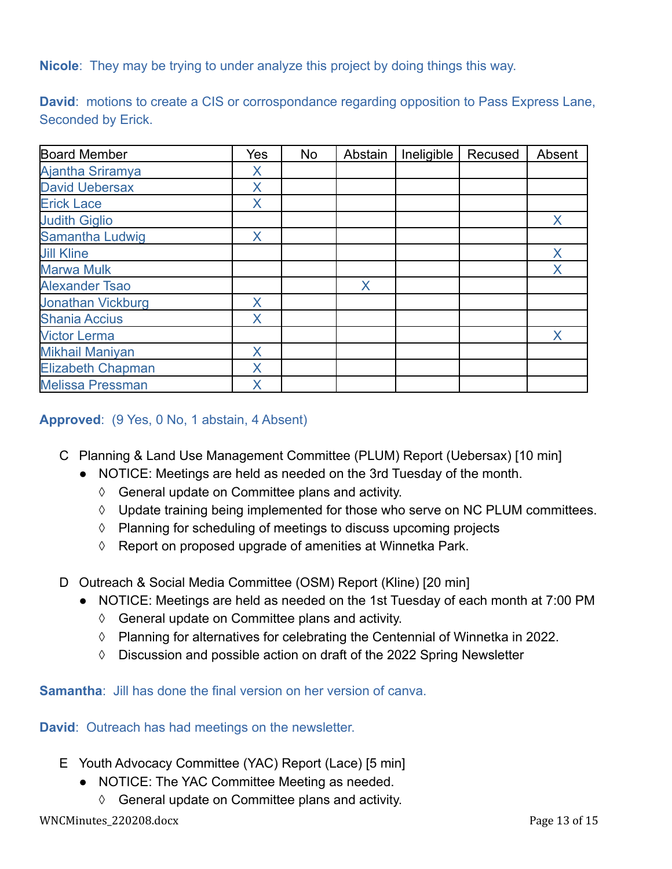**Nicole**: They may be trying to under analyze this project by doing things this way.

**David:** motions to create a CIS or corrospondance regarding opposition to Pass Express Lane, Seconded by Erick.

| <b>Board Member</b>      | Yes | No | Abstain | Ineligible | Recused | Absent |
|--------------------------|-----|----|---------|------------|---------|--------|
| Ajantha Sriramya         | X   |    |         |            |         |        |
| <b>David Uebersax</b>    | X   |    |         |            |         |        |
| <b>Erick Lace</b>        | X   |    |         |            |         |        |
| <b>Judith Giglio</b>     |     |    |         |            |         | X      |
| Samantha Ludwig          | X   |    |         |            |         |        |
| <b>Jill Kline</b>        |     |    |         |            |         | Χ      |
| <b>Marwa Mulk</b>        |     |    |         |            |         | X      |
| <b>Alexander Tsao</b>    |     |    | X       |            |         |        |
| <b>Jonathan Vickburg</b> | X   |    |         |            |         |        |
| <b>Shania Accius</b>     | X   |    |         |            |         |        |
| <b>Victor Lerma</b>      |     |    |         |            |         | X      |
| <b>Mikhail Maniyan</b>   | X   |    |         |            |         |        |
| <b>Elizabeth Chapman</b> | X   |    |         |            |         |        |
| <b>Melissa Pressman</b>  | X   |    |         |            |         |        |

### **Approved**: (9 Yes, 0 No, 1 abstain, 4 Absent)

- C Planning & Land Use Management Committee (PLUM) Report (Uebersax) [10 min]
	- NOTICE: Meetings are held as needed on the 3rd Tuesday of the month.
		- ◊ General update on Committee plans and activity.
		- ◊ Update training being implemented for those who serve on NC PLUM committees.
		- ◊ Planning for scheduling of meetings to discuss upcoming projects
		- ◊ Report on proposed upgrade of amenities at Winnetka Park.
- D Outreach & Social Media Committee (OSM) Report (Kline) [20 min]
	- NOTICE: Meetings are held as needed on the 1st Tuesday of each month at 7:00 PM
		- ◊ General update on Committee plans and activity.
		- ◊ Planning for alternatives for celebrating the Centennial of Winnetka in 2022.
		- ◊ Discussion and possible action on draft of the 2022 Spring Newsletter

**Samantha**: Jill has done the final version on her version of canva.

**David**: Outreach has had meetings on the newsletter.

- E Youth Advocacy Committee (YAC) Report (Lace) [5 min]
	- NOTICE: The YAC Committee Meeting as needed.
		- ◊ General update on Committee plans and activity.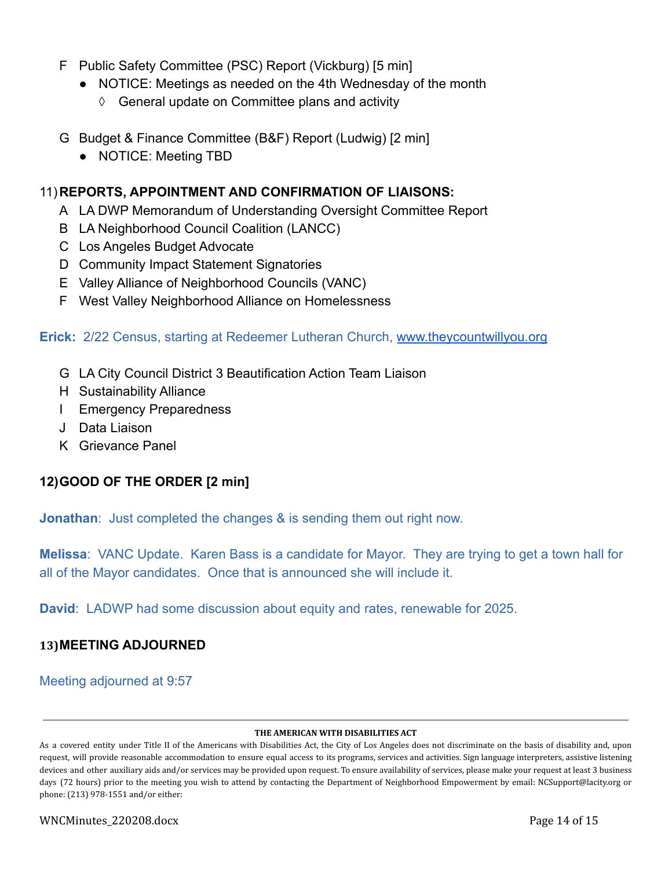- F Public Safety Committee (PSC) Report (Vickburg) [5 min]
	- NOTICE: Meetings as needed on the 4th Wednesday of the month
		- ◊ General update on Committee plans and activity
- G Budget & Finance Committee (B&F) Report (Ludwig) [2 min]
	- NOTICE: Meeting TBD

### 11)**REPORTS, APPOINTMENT AND CONFIRMATION OF LIAISONS:**

- A LA DWP Memorandum of Understanding Oversight Committee Report
- B LA Neighborhood Council Coalition (LANCC)
- C Los Angeles Budget Advocate
- D Community Impact Statement Signatories
- E Valley Alliance of Neighborhood Councils (VANC)
- F West Valley Neighborhood Alliance on Homelessness

### **Erick:** 2/22 Census, starting at Redeemer Lutheran Church, [www.theycountwillyou.org](http://www.theycountwillyou.org)

- G LA City Council District 3 Beautification Action Team Liaison
- H Sustainability Alliance
- I Emergency Preparedness
- J Data Liaison
- K Grievance Panel

# **12)GOOD OF THE ORDER [2 min]**

**Jonathan:** Just completed the changes & is sending them out right now.

**Melissa**: VANC Update. Karen Bass is a candidate for Mayor. They are trying to get a town hall for all of the Mayor candidates. Once that is announced she will include it.

**David**: LADWP had some discussion about equity and rates, renewable for 2025.

### **13)MEETING ADJOURNED**

# Meeting adjourned at 9:57

#### **THE AMERICAN WITH DISABILITIES ACT**

As a covered entity under Title II of the Americans with Disabilities Act, the City of Los Angeles does not discriminate on the basis of disability and, upon request, will provide reasonable accommodation to ensure equal access to its programs, services and activities. Sign language interpreters, assistive listening devices and other auxiliary aids and/or services may be provided upon request. To ensure availability of services, please make your request at least 3 business days (72 hours) prior to the meeting you wish to attend by contacting the Department of Neighborhood Empowerment by email: NCSupport@lacity.org or phone: (213) 978-1551 and/or either: